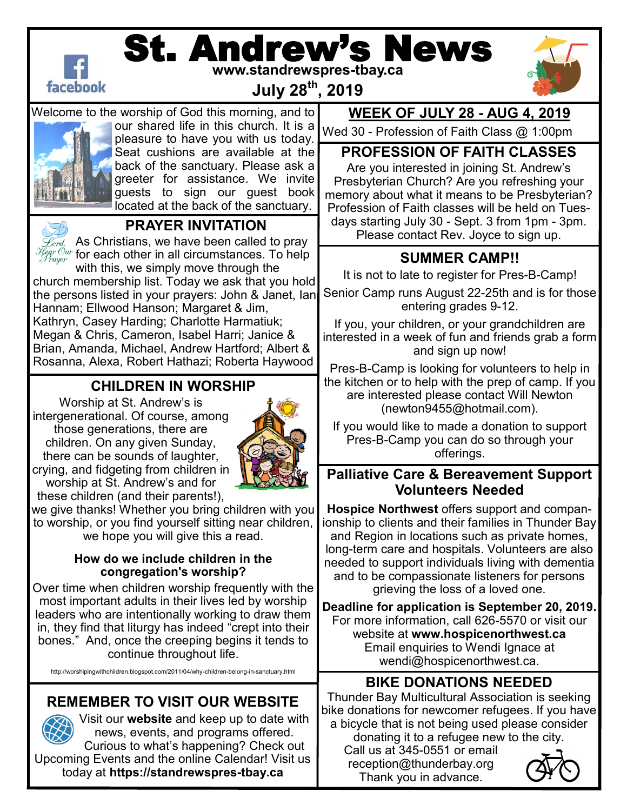